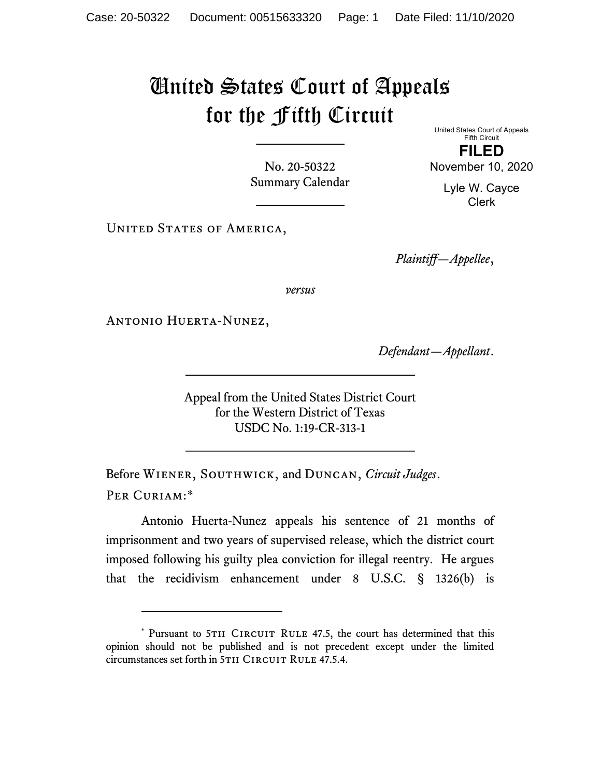## United States Court of Appeals for the Fifth Circuit

No. 20-50322 Summary Calendar United States Court of Appeals Fifth Circuit FILED

November 10, 2020

Lyle W. Cayce Clerk

UNITED STATES OF AMERICA,

Plaintiff—Appellee,

versus

Antonio Huerta-Nunez,

Defendant—Appellant.

Appeal from the United States District Court for the Western District of Texas USDC No. 1:19-CR-313-1

Before WIENER, SOUTHWICK, and DUNCAN, Circuit Judges. Per Curiam:\*

Antonio Huerta-Nunez appeals his sentence of 21 months of imprisonment and two years of supervised release, which the district court imposed following his guilty plea conviction for illegal reentry. He argues that the recidivism enhancement under 8 U.S.C. § 1326(b) is

<sup>\*</sup> Pursuant to 5TH CIRCUIT RULE 47.5, the court has determined that this opinion should not be published and is not precedent except under the limited circumstances set forth in 5TH CIRCUIT RULE 47.5.4.